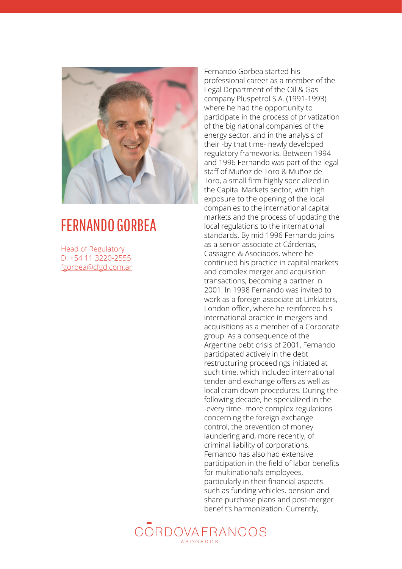

## FERNANDO GORBEA

Head of Regulatory D. +54 11 3220-2555 [fgorbea@cfgd.com.ar](mailto:fgorbea@cfgd.com.ar)

Fernando Gorbea started his professional career as a member of the Legal Department of the Oil & Gas company Pluspetrol S.A. (1991-1993) where he had the opportunity to participate in the process of privatization of the big national companies of the energy sector, and in the analysis of their -by that time- newly developed regulatory frameworks. Between 1994 and 1996 Fernando was part of the legal staff of Muñoz de Toro & Muñoz de Toro, a small firm highly specialized in the Capital Markets sector, with high exposure to the opening of the local companies to the international capital markets and the process of updating the local regulations to the international standards. By mid 1996 Fernando joins as a senior associate at Cárdenas, Cassagne & Asociados, where he continued his practice in capital markets and complex merger and acquisition transactions, becoming a partner in 2001. In 1998 Fernando was invited to work as a foreign associate at Linklaters, London office, where he reinforced his international practice in mergers and acquisitions as a member of a Corporate group. As a consequence of the Argentine debt crisis of 2001, Fernando participated actively in the debt restructuring proceedings initiated at such time, which included international tender and exchange offers as well as local cram down procedures. During the following decade, he specialized in the -every time- more complex regulations concerning the foreign exchange control, the prevention of money laundering and, more recently, of criminal liability of corporations. Fernando has also had extensive participation in the field of labor benefits for multinational's employees, particularly in their financial aspects such as funding vehicles, pension and share purchase plans and post-merger benefit's harmonization. Currently,